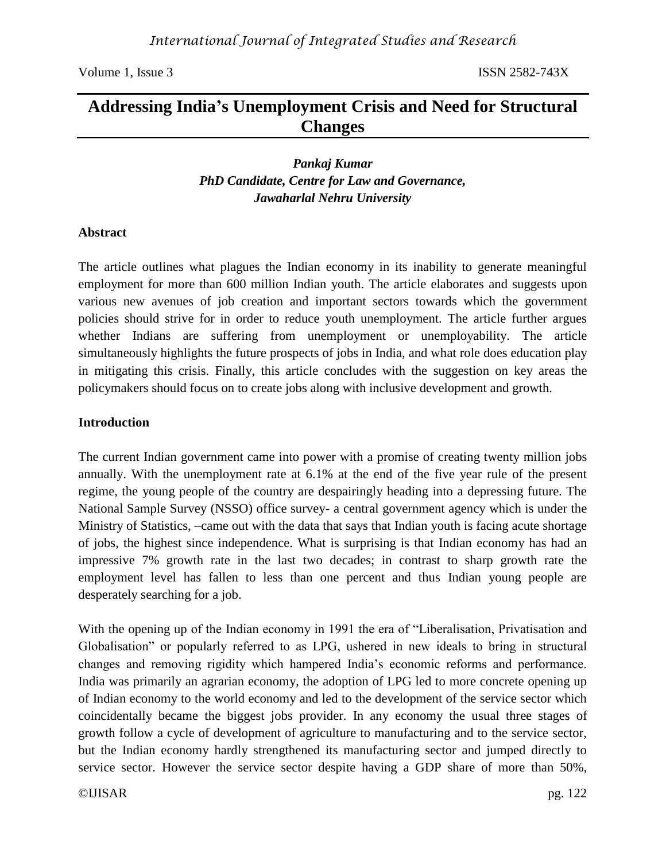# **Addressing India's Unemployment Crisis and Need for Structural Changes**

*Pankaj Kumar PhD Candidate, Centre for Law and Governance, Jawaharlal Nehru University*

### **Abstract**

The article outlines what plagues the Indian economy in its inability to generate meaningful employment for more than 600 million Indian youth. The article elaborates and suggests upon various new avenues of job creation and important sectors towards which the government policies should strive for in order to reduce youth unemployment. The article further argues whether Indians are suffering from unemployment or unemployability. The article simultaneously highlights the future prospects of jobs in India, and what role does education play in mitigating this crisis. Finally, this article concludes with the suggestion on key areas the policymakers should focus on to create jobs along with inclusive development and growth.

### **Introduction**

The current Indian government came into power with a promise of creating twenty million jobs annually. With the unemployment rate at 6.1% at the end of the five year rule of the present regime, the young people of the country are despairingly heading into a depressing future. The National Sample Survey (NSSO) office survey- a central government agency which is under the Ministry of Statistics, –came out with the data that says that Indian youth is facing acute shortage of jobs, the highest since independence. What is surprising is that Indian economy has had an impressive 7% growth rate in the last two decades; in contrast to sharp growth rate the employment level has fallen to less than one percent and thus Indian young people are desperately searching for a job.

With the opening up of the Indian economy in 1991 the era of "Liberalisation, Privatisation and Globalisation" or popularly referred to as LPG, ushered in new ideals to bring in structural changes and removing rigidity which hampered India's economic reforms and performance. India was primarily an agrarian economy, the adoption of LPG led to more concrete opening up of Indian economy to the world economy and led to the development of the service sector which coincidentally became the biggest jobs provider. In any economy the usual three stages of growth follow a cycle of development of agriculture to manufacturing and to the service sector, but the Indian economy hardly strengthened its manufacturing sector and jumped directly to service sector. However the service sector despite having a GDP share of more than 50%,

©IJISAR pg. 122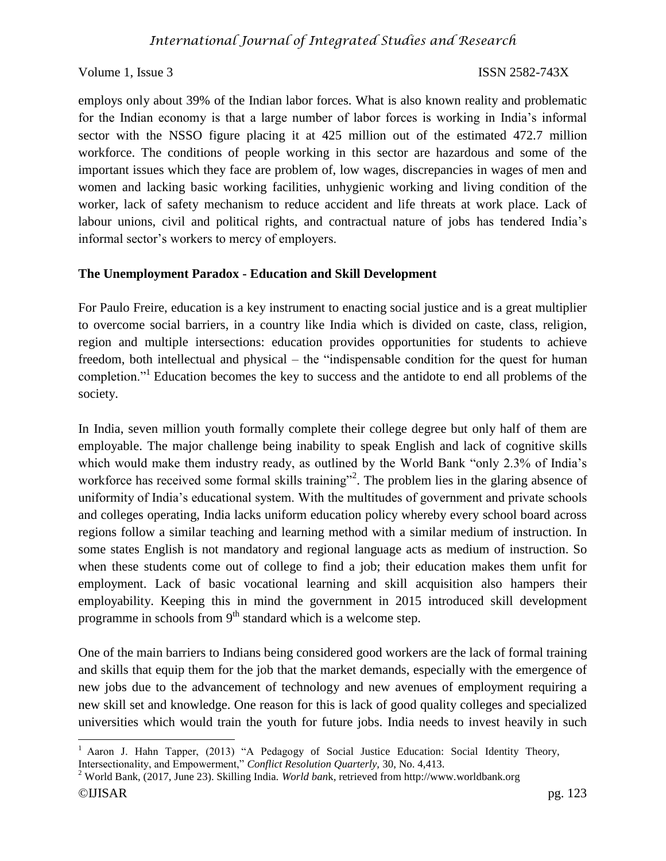employs only about 39% of the Indian labor forces. What is also known reality and problematic for the Indian economy is that a large number of labor forces is working in India's informal sector with the NSSO figure placing it at 425 million out of the estimated 472.7 million workforce. The conditions of people working in this sector are hazardous and some of the important issues which they face are problem of, low wages, discrepancies in wages of men and women and lacking basic working facilities, unhygienic working and living condition of the worker, lack of safety mechanism to reduce accident and life threats at work place. Lack of labour unions, civil and political rights, and contractual nature of jobs has tendered India's informal sector's workers to mercy of employers.

## **The Unemployment Paradox - Education and Skill Development**

For Paulo Freire, education is a key instrument to enacting social justice and is a great multiplier to overcome social barriers, in a country like India which is divided on caste, class, religion, region and multiple intersections: education provides opportunities for students to achieve freedom, both intellectual and physical – the "indispensable condition for the quest for human completion."<sup>1</sup> Education becomes the key to success and the antidote to end all problems of the society.

In India, seven million youth formally complete their college degree but only half of them are employable. The major challenge being inability to speak English and lack of cognitive skills which would make them industry ready, as outlined by the World Bank "only 2.3% of India's workforce has received some formal skills training"<sup>2</sup>. The problem lies in the glaring absence of uniformity of India's educational system. With the multitudes of government and private schools and colleges operating, India lacks uniform education policy whereby every school board across regions follow a similar teaching and learning method with a similar medium of instruction. In some states English is not mandatory and regional language acts as medium of instruction. So when these students come out of college to find a job; their education makes them unfit for employment. Lack of basic vocational learning and skill acquisition also hampers their employability. Keeping this in mind the government in 2015 introduced skill development programme in schools from  $9<sup>th</sup>$  standard which is a welcome step.

One of the main barriers to Indians being considered good workers are the lack of formal training and skills that equip them for the job that the market demands, especially with the emergence of new jobs due to the advancement of technology and new avenues of employment requiring a new skill set and knowledge. One reason for this is lack of good quality colleges and specialized universities which would train the youth for future jobs. India needs to invest heavily in such

l <sup>1</sup> Aaron J. Hahn Tapper, (2013) "A Pedagogy of Social Justice Education: Social Identity Theory, Intersectionality, and Empowerment," *Conflict Resolution Quarterly,* 30, No. 4,413.

<sup>©</sup>IJISAR pg. 123 <sup>2</sup> World Bank, (2017, June 23). Skilling India. *World ban*k, retrieved from http://www.worldbank.org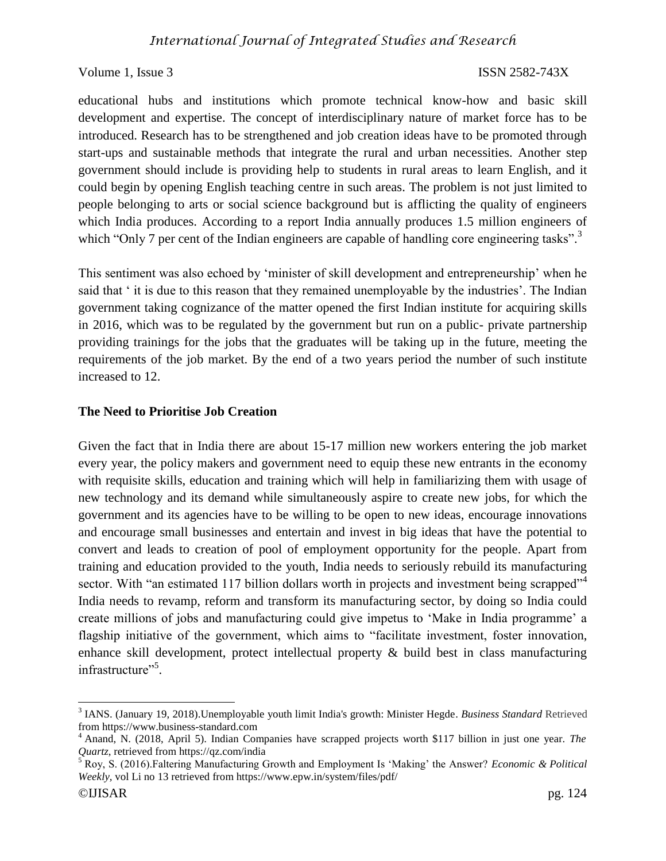educational hubs and institutions which promote technical know-how and basic skill development and expertise. The concept of interdisciplinary nature of market force has to be introduced. Research has to be strengthened and job creation ideas have to be promoted through start-ups and sustainable methods that integrate the rural and urban necessities. Another step government should include is providing help to students in rural areas to learn English, and it could begin by opening English teaching centre in such areas. The problem is not just limited to people belonging to arts or social science background but is afflicting the quality of engineers which India produces. According to a report India annually produces 1.5 million engineers of which "Only 7 per cent of the Indian engineers are capable of handling core engineering tasks".<sup>3</sup>

This sentiment was also echoed by 'minister of skill development and entrepreneurship' when he said that ' it is due to this reason that they remained unemployable by the industries'. The Indian government taking cognizance of the matter opened the first Indian institute for acquiring skills in 2016, which was to be regulated by the government but run on a public- private partnership providing trainings for the jobs that the graduates will be taking up in the future, meeting the requirements of the job market. By the end of a two years period the number of such institute increased to 12.

### **The Need to Prioritise Job Creation**

Given the fact that in India there are about 15-17 million new workers entering the job market every year, the policy makers and government need to equip these new entrants in the economy with requisite skills, education and training which will help in familiarizing them with usage of new technology and its demand while simultaneously aspire to create new jobs, for which the government and its agencies have to be willing to be open to new ideas, encourage innovations and encourage small businesses and entertain and invest in big ideas that have the potential to convert and leads to creation of pool of employment opportunity for the people. Apart from training and education provided to the youth, India needs to seriously rebuild its manufacturing sector. With "an estimated 117 billion dollars worth in projects and investment being scrapped"<sup>4</sup> India needs to revamp, reform and transform its manufacturing sector, by doing so India could create millions of jobs and manufacturing could give impetus to 'Make in India programme' a flagship initiative of the government, which aims to "facilitate investment, foster innovation, enhance skill development, protect intellectual property & build best in class manufacturing infrastructure"<sup>5</sup>.

l

<sup>3</sup> IANS. (January 19, 2018).Unemployable youth limit India's growth: Minister Hegde. *Business Standard* Retrieved from https://www.business-standard.com

<sup>4</sup> Anand, N. (2018, April 5). Indian Companies have scrapped projects worth \$117 billion in just one year. *The Quartz*, retrieved from https://qz.com/india

<sup>5</sup> Roy, S. (2016).Faltering Manufacturing Growth and Employment Is 'Making' the Answer? *Economic & Political Weekly,* vol Li no 13 retrieved from https://www.epw.in/system/files/pdf/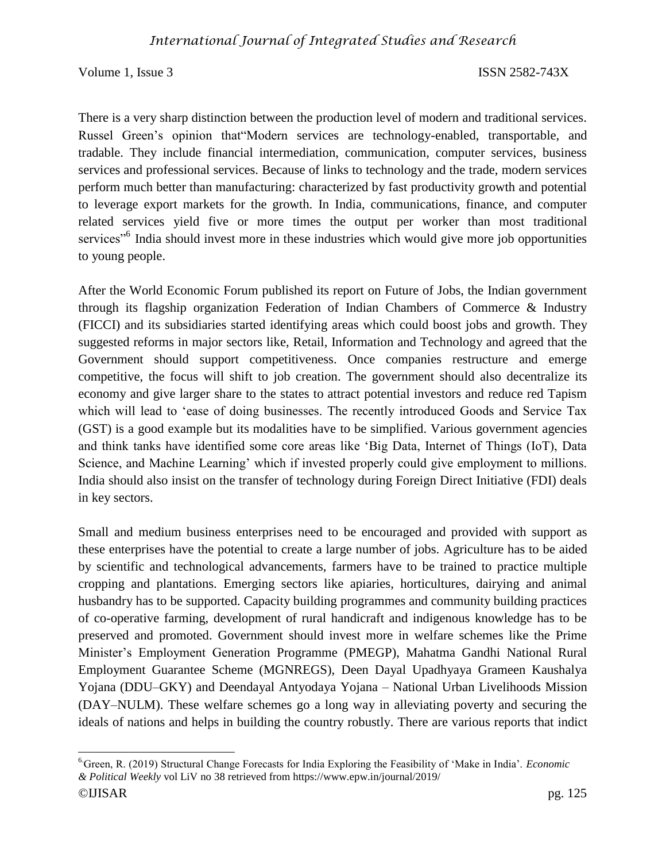There is a very sharp distinction between the production level of modern and traditional services. Russel Green's opinion that"Modern services are technology-enabled, transportable, and tradable. They include financial intermediation, communication, computer services, business services and professional services. Because of links to technology and the trade, modern services perform much better than manufacturing: characterized by fast productivity growth and potential to leverage export markets for the growth. In India, communications, finance, and computer related services yield five or more times the output per worker than most traditional services<sup>"6</sup> India should invest more in these industries which would give more job opportunities to young people.

After the World Economic Forum published its report on Future of Jobs, the Indian government through its flagship organization Federation of Indian Chambers of Commerce & Industry (FICCI) and its subsidiaries started identifying areas which could boost jobs and growth. They suggested reforms in major sectors like, Retail, Information and Technology and agreed that the Government should support competitiveness. Once companies restructure and emerge competitive, the focus will shift to job creation. The government should also decentralize its economy and give larger share to the states to attract potential investors and reduce red Tapism which will lead to 'ease of doing businesses. The recently introduced Goods and Service Tax (GST) is a good example but its modalities have to be simplified. Various government agencies and think tanks have identified some core areas like 'Big Data, Internet of Things (IoT), Data Science, and Machine Learning' which if invested properly could give employment to millions. India should also insist on the transfer of technology during Foreign Direct Initiative (FDI) deals in key sectors.

Small and medium business enterprises need to be encouraged and provided with support as these enterprises have the potential to create a large number of jobs. Agriculture has to be aided by scientific and technological advancements, farmers have to be trained to practice multiple cropping and plantations. Emerging sectors like apiaries, horticultures, dairying and animal husbandry has to be supported. Capacity building programmes and community building practices of co-operative farming, development of rural handicraft and indigenous knowledge has to be preserved and promoted. Government should invest more in welfare schemes like the Prime Minister's Employment Generation Programme (PMEGP), Mahatma Gandhi National Rural Employment Guarantee Scheme (MGNREGS), Deen Dayal Upadhyaya Grameen Kaushalya Yojana (DDU–GKY) and Deendayal Antyodaya Yojana – National Urban Livelihoods Mission (DAY–NULM). These welfare schemes go a long way in alleviating poverty and securing the ideals of nations and helps in building the country robustly. There are various reports that indict

<sup>©</sup>IJISAR pg. 125 l 6.Green, R. (2019) Structural Change Forecasts for India Exploring the Feasibility of 'Make in India'. *Economic & Political Weekly* vol LiV no 38 retrieved from https://www.epw.in/journal/2019/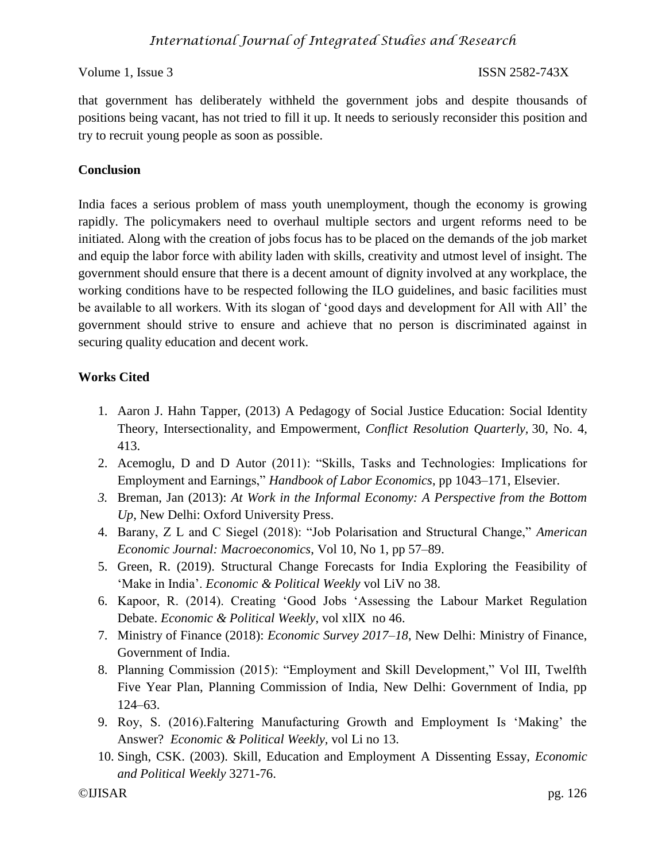that government has deliberately withheld the government jobs and despite thousands of positions being vacant, has not tried to fill it up. It needs to seriously reconsider this position and try to recruit young people as soon as possible.

# **Conclusion**

India faces a serious problem of mass youth unemployment, though the economy is growing rapidly. The policymakers need to overhaul multiple sectors and urgent reforms need to be initiated. Along with the creation of jobs focus has to be placed on the demands of the job market and equip the labor force with ability laden with skills, creativity and utmost level of insight. The government should ensure that there is a decent amount of dignity involved at any workplace, the working conditions have to be respected following the ILO guidelines, and basic facilities must be available to all workers. With its slogan of 'good days and development for All with All' the government should strive to ensure and achieve that no person is discriminated against in securing quality education and decent work.

# **Works Cited**

- 1. Aaron J. Hahn Tapper, (2013) A Pedagogy of Social Justice Education: Social Identity Theory, Intersectionality, and Empowerment, *Conflict Resolution Quarterly,* 30, No. 4, 413.
- 2. Acemoglu, D and D Autor (2011): "Skills, Tasks and Technologies: Implications for Employment and Earnings," *Handbook of Labor Economics*, pp 1043–171, Elsevier.
- *3.* Breman, Jan (2013): *At Work in the Informal Economy: A Perspective from the Bottom Up*, New Delhi: Oxford University Press.
- 4. Barany, Z L and C Siegel (2018): "Job Polarisation and Structural Change," *American Economic Journal: Macroeconomics*, Vol 10, No 1, pp 57–89.
- 5. Green, R. (2019). Structural Change Forecasts for India Exploring the Feasibility of 'Make in India'. *Economic & Political Weekly* vol LiV no 38.
- 6. Kapoor, R. (2014). Creating 'Good Jobs 'Assessing the Labour Market Regulation Debate. *Economic & Political Weekly*, vol xlIX no 46.
- 7. Ministry of Finance (2018): *Economic Survey 2017–18*, New Delhi: Ministry of Finance, Government of India.
- 8. Planning Commission (2015): "Employment and Skill Development," Vol III, Twelfth Five Year Plan, Planning Commission of India, New Delhi: Government of India, pp 124–63.
- 9. Roy, S. (2016).Faltering Manufacturing Growth and Employment Is 'Making' the Answer? *Economic & Political Weekly,* vol Li no 13.
- 10. Singh, CSK. (2003). Skill, Education and Employment A Dissenting Essay, *Economic and Political Weekly* 3271-76.